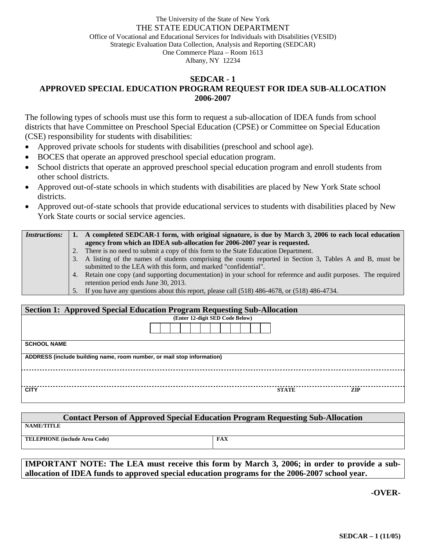## The University of the State of New York THE STATE EDUCATION DEPARTMENT Office of Vocational and Educational Services for Individuals with Disabilities (VESID) Strategic Evaluation Data Collection, Analysis and Reporting (SEDCAR) One Commerce Plaza – Room 1613 Albany, NY 12234

## **SEDCAR - 1 APPROVED SPECIAL EDUCATION PROGRAM REQUEST FOR IDEA SUB-ALLOCATION 2006-2007**

The following types of schools must use this form to request a sub-allocation of IDEA funds from school districts that have Committee on Preschool Special Education (CPSE) or Committee on Special Education (CSE) responsibility for students with disabilities:

- Approved private schools for students with disabilities (preschool and school age).
- BOCES that operate an approved preschool special education program.
- School districts that operate an approved preschool special education program and enroll students from other school districts.
- Approved out-of-state schools in which students with disabilities are placed by New York State school districts.
- Approved out-of-state schools that provide educational services to students with disabilities placed by New York State courts or social service agencies.

| <i>Instructions:</i> |                                                                           | A completed SEDCAR-1 form, with original signature, is due by March 3, 2006 to each local education             |  |  |
|----------------------|---------------------------------------------------------------------------|-----------------------------------------------------------------------------------------------------------------|--|--|
|                      | agency from which an IDEA sub-allocation for 2006-2007 year is requested. |                                                                                                                 |  |  |
|                      | 2.                                                                        | There is no need to submit a copy of this form to the State Education Department.                               |  |  |
|                      |                                                                           | 3. A listing of the names of students comprising the counts reported in Section 3, Tables A and B, must be      |  |  |
|                      |                                                                           | submitted to the LEA with this form, and marked "confidential".                                                 |  |  |
|                      |                                                                           | 4. Retain one copy (and supporting documentation) in your school for reference and audit purposes. The required |  |  |
|                      |                                                                           | retention period ends June 30, 2013.                                                                            |  |  |
|                      |                                                                           | 5. If you have any questions about this report, please call (518) 486-4678, or (518) 486-4734.                  |  |  |

| <b>Section 1: Approved Special Education Program Requesting Sub-Allocation</b> |  |              |     |  |
|--------------------------------------------------------------------------------|--|--------------|-----|--|
| (Enter 12-digit SED Code Below)                                                |  |              |     |  |
|                                                                                |  |              |     |  |
| <b>SCHOOL NAME</b>                                                             |  |              |     |  |
| ADDRESS (include building name, room number, or mail stop information)         |  |              |     |  |
|                                                                                |  |              |     |  |
| <b>CITY</b>                                                                    |  | <b>STATE</b> | ZIP |  |

| <b>Contact Person of Approved Special Education Program Requesting Sub-Allocation</b> |            |  |  |
|---------------------------------------------------------------------------------------|------------|--|--|
| NAME/TITLE                                                                            |            |  |  |
| TELEPHONE (include Area Code)                                                         | <b>FAX</b> |  |  |

**IMPORTANT NOTE: The LEA must receive this form by March 3, 2006; in order to provide a suballocation of IDEA funds to approved special education programs for the 2006-2007 school year.** 

**-OVER-**